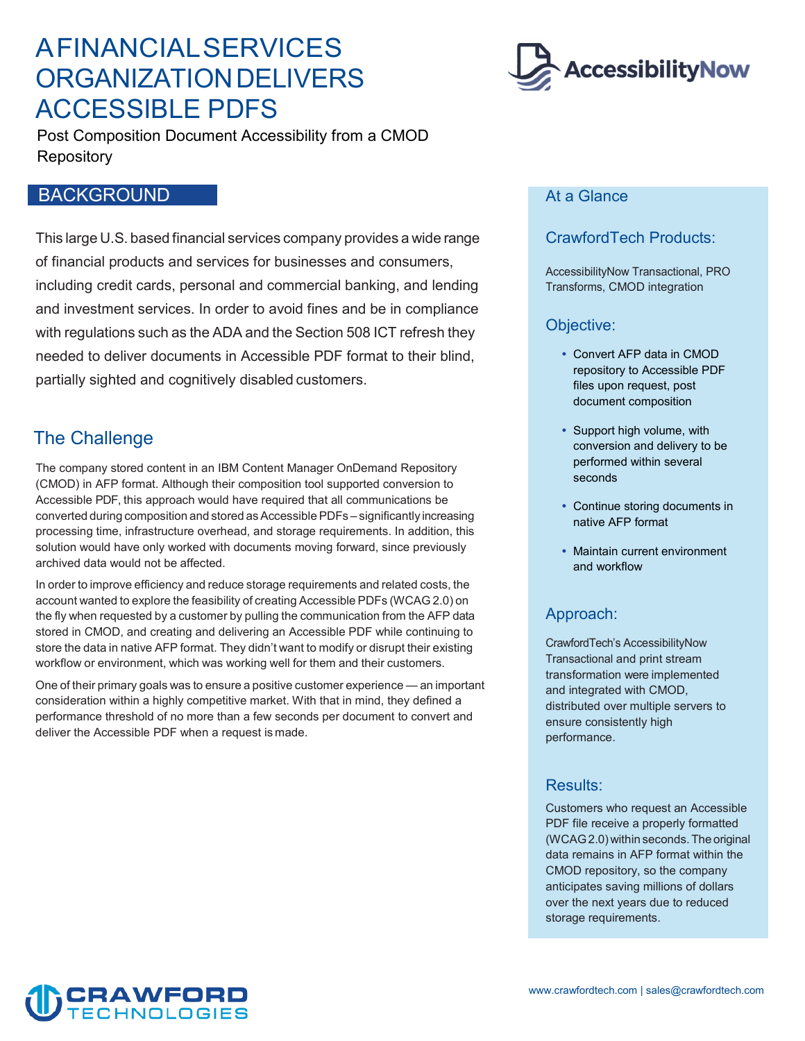## A FINANCIALSERVICES ORGANIZATIONDELIVERS ACCESSIBLE PDFS



Post Composition Document Accessibility from a CMOD Repository

## BACKGROUND

 This large U.S. based financial services company provides a wide range of financial products and services for businesses and consumers, with regulations such as the ADA and the Section 508 ICT refresh they including credit cards, personal and commercial banking, and lending and investment services. In order to avoid fines and be in compliance needed to deliver documents in Accessible PDF format to their blind, partially sighted and cognitively disabled customers.

## The Challenge

 converted during composition and stored as Accessible PDFs – significantly increasing The company stored content in an IBM Content Manager OnDemand Repository (CMOD) in AFP format. Although their composition tool supported conversion to Accessible PDF, this approach would have required that all communications be processing time, infrastructure overhead, and storage requirements. In addition, this solution would have only worked with documents moving forward, since previously archived data would not be affected.

 In order to improve efficiency and reduce storage requirements and related costs, the account wanted to explore the feasibility of creating Accessible PDFs (WCAG 2.0) on the fly when requested by a customer by pulling the communication from the AFP data store the data in native AFP format. They didn't want to modify or disrupt their existing workflow or environment, which was working well for them and their customers. stored in CMOD, and creating and delivering an Accessible PDF while continuing to

 One of their primary goals was to ensure a positive customer experience — an important consideration within a highly competitive market. With that in mind, they defined a performance threshold of no more than a few seconds per document to convert and deliver the Accessible PDF when a request is made.

#### At a Glance

### CrawfordTech Products:

AccessibilityNow Transactional, PRO Transforms, CMOD integration

#### Objective:

- files upon request, post Convert AFP data in CMOD repository to Accessible PDF document composition
- Support high volume, with conversion and delivery to be performed within several seconds
- Continue storing documents in native AFP format
- Maintain current environment and workflow

### Approach:

CrawfordTech's AccessibilityNow Transactional and print stream transformation were implemented and integrated with CMOD, distributed over multiple servers to ensure consistently high performance.

#### Results:

 (WCAG 2.0) within seconds. The original Customers who request an Accessible PDF file receive a properly formatted data remains in AFP format within the CMOD repository, so the company anticipates saving millions of dollars over the next years due to reduced storage requirements.